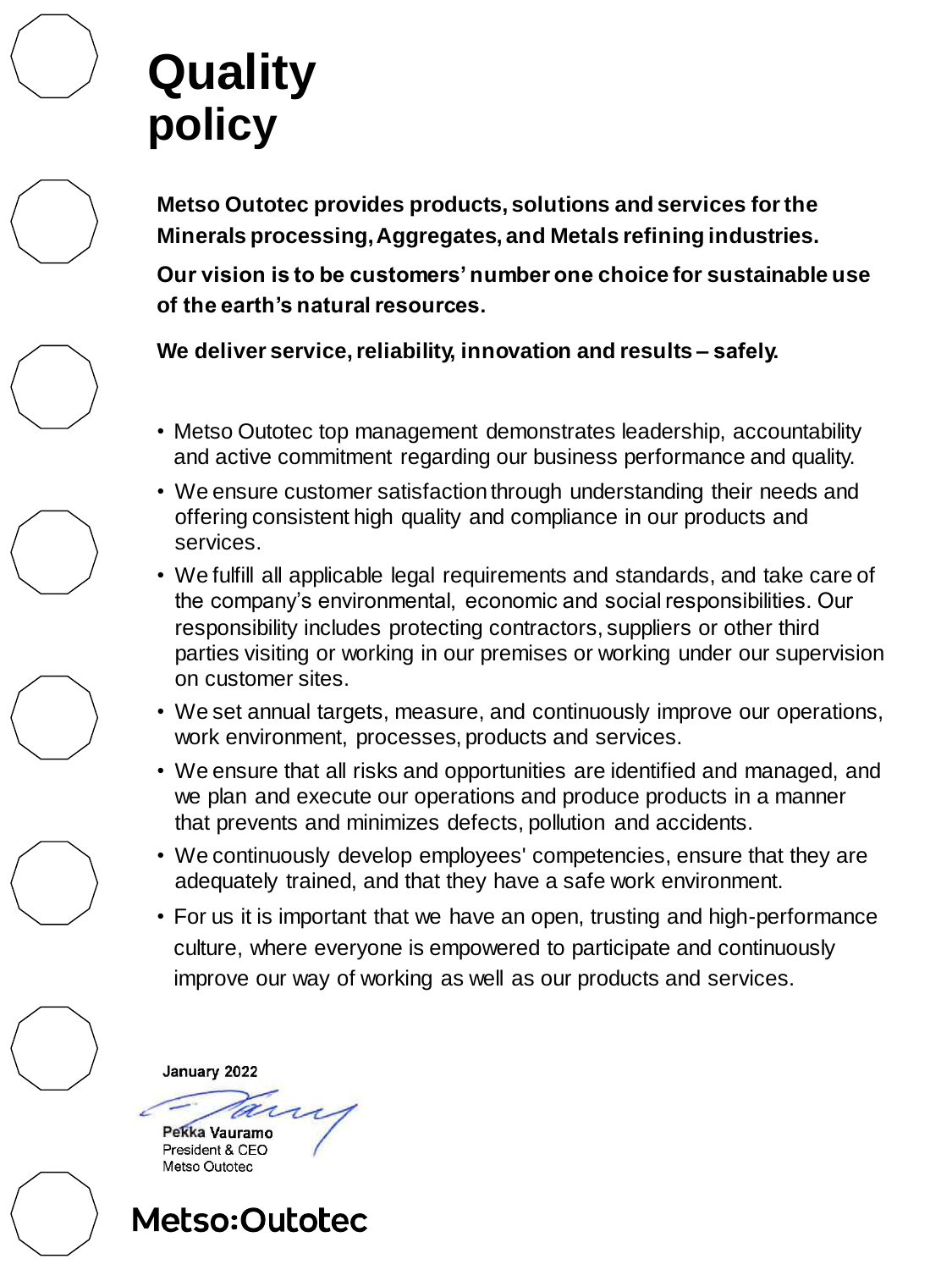## **Quality policy**

**Metso Outotec provides products, solutions and services for the Minerals processing, Aggregates, and Metals refining industries.**

**Our vision is to be customers' number one choice for sustainable use of the earth's natural resources.**

- 
- 
- 
- 
- 
- 
- -

Pekka Vauramo President & CEO Metso Outotec



**We deliver service,reliability, innovation and results – safely.**

- Metso Outotec top management demonstrates leadership, accountability and active commitment regarding our business performance and quality.
- We ensure customer satisfaction through understanding their needs and offering consistent high quality and compliance in our products and services.
- We fulfill all applicable legal requirements and standards, and take care of the company's environmental, economic and social responsibilities. Our responsibility includes protecting contractors, suppliers or other third parties visiting or working in our premises or working under our supervision on customer sites.
- We set annual targets, measure, and continuously improve our operations, work environment, processes, products and services.
- We ensure that all risks and opportunities are identified and managed, and we plan and execute our operations and produce products in a manner that prevents and minimizes defects, pollution and accidents.
- We continuously develop employees' competencies, ensure that they are adequately trained, and that they have a safe work environment.
- For us it is important that we have an open, trusting and high-performance culture, where everyone is empowered to participate and continuously improve our way of working as well as our products and services.

January 2022